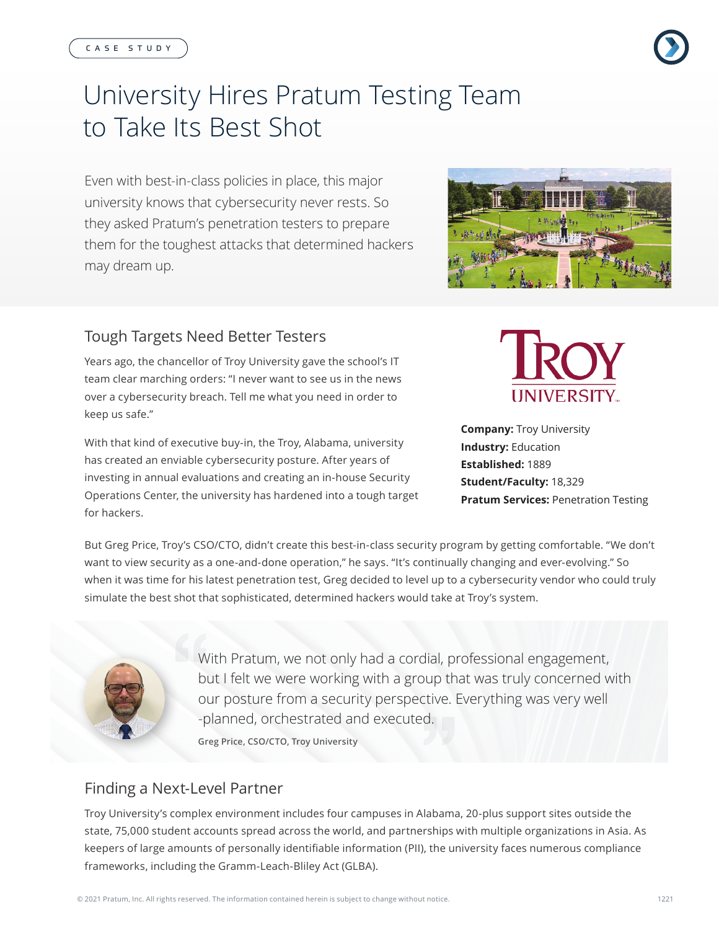#### CASE STUDY

# University Hires Pratum Testing Team to Take Its Best Shot

Even with best-in-class policies in place, this major university knows that cybersecurity never rests. So they asked Pratum's penetration testers to prepare them for the toughest attacks that determined hackers may dream up.

#### Tough Targets Need Better Testers

Years ago, the chancellor of Troy University gave the school's IT team clear marching orders: "I never want to see us in the news over a cybersecurity breach. Tell me what you need in order to keep us safe."

With that kind of executive buy-in, the Troy, Alabama, university has created an enviable cybersecurity posture. After years of investing in annual evaluations and creating an in-house Security Operations Center, the university has hardened into a tough target for hackers.

But Greg Price, Troy's CSO/CTO, didn't create this best-in-class security program by getting comfortable. "We don't want to view security as a one-and-done operation," he says. "It's continually changing and ever-evolving." So when it was time for his latest penetration test, Greg decided to level up to a cybersecurity vendor who could truly simulate the best shot that sophisticated, determined hackers would take at Troy's system.

> With Pratum, we not only had a cordial, professional engagement, but I felt we were working with a group that was truly concerned with

our posture from a security perspective. Everything was very well

Finding a Next-Level Partner

Troy University's complex environment includes four campuses in Alabama, 20-plus support sites outside the state, 75,000 student accounts spread across the world, and partnerships with multiple organizations in Asia. As keepers of large amounts of personally identifiable information (PII), the university faces numerous compliance frameworks, including the Gramm-Leach-Bliley Act (GLBA).

-planned, orchestrated and executed.

**Greg Price, CSO/CTO, Troy University**



**IINIVERSITY** 

**Pratum Services: Penetration Testing** 





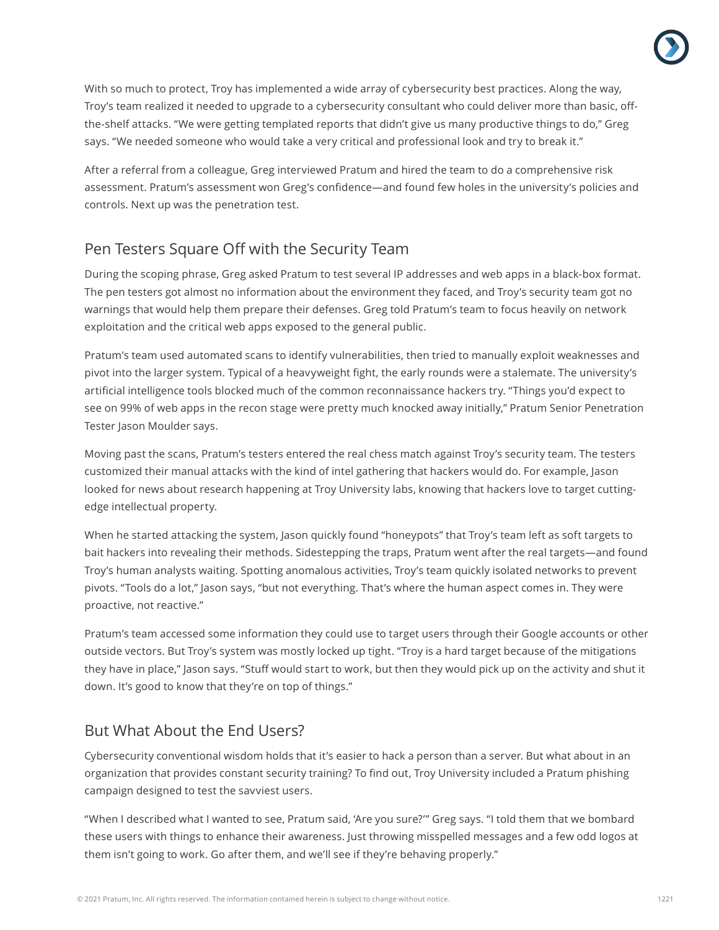With so much to protect, Troy has implemented a wide array of cybersecurity best practices. Along the way, Troy's team realized it needed to upgrade to a cybersecurity consultant who could deliver more than basic, offthe-shelf attacks. "We were getting templated reports that didn't give us many productive things to do," Greg says. "We needed someone who would take a very critical and professional look and try to break it."

After a referral from a colleague, Greg interviewed Pratum and hired the team to do a comprehensive risk assessment. Pratum's assessment won Greg's confidence—and found few holes in the university's policies and controls. Next up was the penetration test.

## Pen Testers Square Off with the Security Team

During the scoping phrase, Greg asked Pratum to test several IP addresses and web apps in a black-box format. The pen testers got almost no information about the environment they faced, and Troy's security team got no warnings that would help them prepare their defenses. Greg told Pratum's team to focus heavily on network exploitation and the critical web apps exposed to the general public.

Pratum's team used automated scans to identify vulnerabilities, then tried to manually exploit weaknesses and pivot into the larger system. Typical of a heavyweight fight, the early rounds were a stalemate. The university's artificial intelligence tools blocked much of the common reconnaissance hackers try. "Things you'd expect to see on 99% of web apps in the recon stage were pretty much knocked away initially," Pratum Senior Penetration Tester Jason Moulder says.

Moving past the scans, Pratum's testers entered the real chess match against Troy's security team. The testers customized their manual attacks with the kind of intel gathering that hackers would do. For example, Jason looked for news about research happening at Troy University labs, knowing that hackers love to target cuttingedge intellectual property.

When he started attacking the system, Jason quickly found "honeypots" that Troy's team left as soft targets to bait hackers into revealing their methods. Sidestepping the traps, Pratum went after the real targets—and found Troy's human analysts waiting. Spotting anomalous activities, Troy's team quickly isolated networks to prevent pivots. "Tools do a lot," Jason says, "but not everything. That's where the human aspect comes in. They were proactive, not reactive."

Pratum's team accessed some information they could use to target users through their Google accounts or other outside vectors. But Troy's system was mostly locked up tight. "Troy is a hard target because of the mitigations they have in place," Jason says. "Stuff would start to work, but then they would pick up on the activity and shut it down. It's good to know that they're on top of things."

## But What About the End Users?

Cybersecurity conventional wisdom holds that it's easier to hack a person than a server. But what about in an organization that provides constant security training? To find out, Troy University included a Pratum phishing campaign designed to test the savviest users.

"When I described what I wanted to see, Pratum said, 'Are you sure?'" Greg says. "I told them that we bombard these users with things to enhance their awareness. Just throwing misspelled messages and a few odd logos at them isn't going to work. Go after them, and we'll see if they're behaving properly."